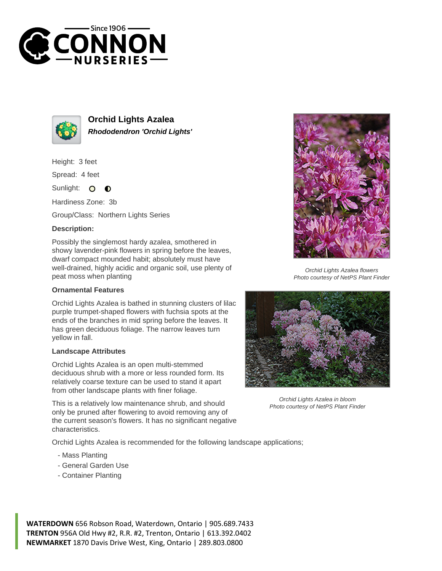



**Orchid Lights Azalea Rhododendron 'Orchid Lights'**

Height: 3 feet

Spread: 4 feet

Sunlight:  $\bullet$  $\bullet$ 

Hardiness Zone: 3b

Group/Class: Northern Lights Series

## **Description:**

Possibly the singlemost hardy azalea, smothered in showy lavender-pink flowers in spring before the leaves, dwarf compact mounded habit; absolutely must have well-drained, highly acidic and organic soil, use plenty of peat moss when planting

## **Ornamental Features**

Orchid Lights Azalea is bathed in stunning clusters of lilac purple trumpet-shaped flowers with fuchsia spots at the ends of the branches in mid spring before the leaves. It has green deciduous foliage. The narrow leaves turn yellow in fall.

## **Landscape Attributes**

Orchid Lights Azalea is an open multi-stemmed deciduous shrub with a more or less rounded form. Its relatively coarse texture can be used to stand it apart from other landscape plants with finer foliage.

This is a relatively low maintenance shrub, and should only be pruned after flowering to avoid removing any of the current season's flowers. It has no significant negative characteristics.

Orchid Lights Azalea is recommended for the following landscape applications;

- Mass Planting
- General Garden Use
- Container Planting



Orchid Lights Azalea flowers Photo courtesy of NetPS Plant Finder



Orchid Lights Azalea in bloom Photo courtesy of NetPS Plant Finder

**WATERDOWN** 656 Robson Road, Waterdown, Ontario | 905.689.7433 **TRENTON** 956A Old Hwy #2, R.R. #2, Trenton, Ontario | 613.392.0402 **NEWMARKET** 1870 Davis Drive West, King, Ontario | 289.803.0800